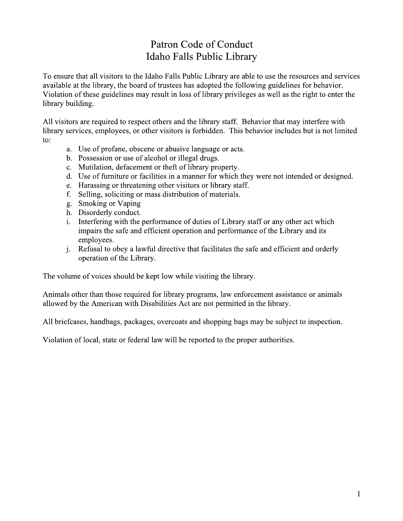## Patron Code of Conduct Idaho Falls Public Library

To ensure that all visitors to the Idaho Falls Public Library are able to use the resources and services available at the library, the board of trustees has adopted the following guidelines for behavior. Violation of these guidelines may result in loss of library privileges as well as the right to enter the library building.

All visitors are required to respect others and the library staff. Behavior that may interfere with library services, employees, or other visitors is forbidden. This behavior includes but is not limited to:

- a. Use of profane, obscene or abusive language or acts.
- b. Possession or use of alcohol or illegal drugs.
- c. Mutilation, defacement or theft of library property.
- d. Use of furniture or facilities in a manner for which they were not intended or designed.
- e. Harassing or threatening other visitors or library staff.
- f. Selling, soliciting or mass distribution of materials.
- g. Smoking or Vaping
- h. Disorderly conduct.
- i. Interfering with the performance of duties of Library staff or any other act which impairs the safe and efficient operation and performance of the Library and its employees.
- Refusal to obey a lawful directive that facilitates the safe and efficient and orderly  $\mathbf{i}$ . operation of the Library.

The volume of voices should be kept low while visiting the library.

Animals other than those required for library programs, law enforcement assistance or animals allowed by the American with Disabilities Act are not permitted in the library.

All briefcases, handbags, packages, overcoats and shopping bags may be subject to inspection.

Violation of local, state or federal law will be reported to the proper authorities.